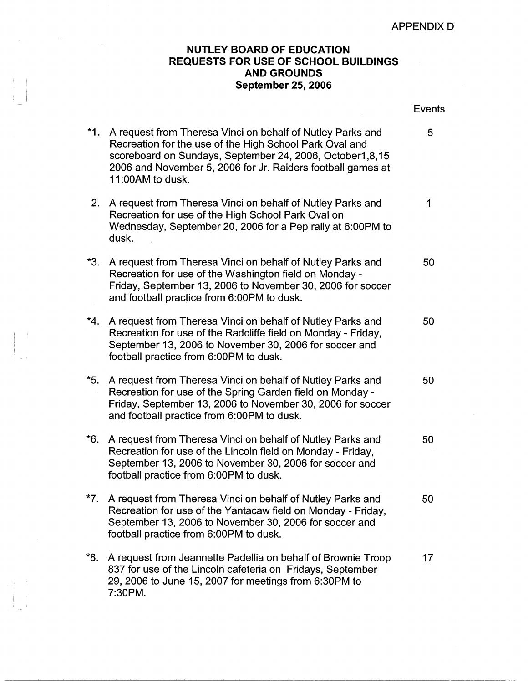## **NUTLEY BOARD OF EDUCATION REQUESTS FOR USE OF SCHOOL BUILDINGS AND GROUNDS September 25, 2006**

\*1. A request from Theresa Vinci on behalf of Nutley Parks

 $\frac{1}{2}$ 

I

|                                                             | Events |
|-------------------------------------------------------------|--------|
| A request from Theresa Vinci on behalf of Nutley Parks and  | 5      |
| Recreation for the use of the High School Park Oval and     |        |
| scoreboard on Sundays, September 24, 2006, October 1, 8, 15 |        |
| 2006 and November 5, 2006 for Ir. Paiders feethall games at |        |

|       | scoreboard on Sundays, September 24, 2006, October1,8,15<br>2006 and November 5, 2006 for Jr. Raiders football games at<br>11:00AM to dusk.                                                                                         |             |
|-------|-------------------------------------------------------------------------------------------------------------------------------------------------------------------------------------------------------------------------------------|-------------|
|       | 2. A request from Theresa Vinci on behalf of Nutley Parks and<br>Recreation for use of the High School Park Oval on<br>Wednesday, September 20, 2006 for a Pep rally at 6:00PM to<br>dusk.                                          | $\mathbf 1$ |
| *3.   | A request from Theresa Vinci on behalf of Nutley Parks and<br>Recreation for use of the Washington field on Monday -<br>Friday, September 13, 2006 to November 30, 2006 for soccer<br>and football practice from 6:00PM to dusk.    | 50          |
|       | *4. A request from Theresa Vinci on behalf of Nutley Parks and<br>Recreation for use of the Radcliffe field on Monday - Friday,<br>September 13, 2006 to November 30, 2006 for soccer and<br>football practice from 6:00PM to dusk. | 50          |
| $*5.$ | A request from Theresa Vinci on behalf of Nutley Parks and<br>Recreation for use of the Spring Garden field on Monday -<br>Friday, September 13, 2006 to November 30, 2006 for soccer<br>and football practice from 6:00PM to dusk. | 50          |
| *6.   | A request from Theresa Vinci on behalf of Nutley Parks and<br>Recreation for use of the Lincoln field on Monday - Friday,<br>September 13, 2006 to November 30, 2006 for soccer and<br>football practice from 6:00PM to dusk.       | 50          |
|       | *7. A request from Theresa Vinci on behalf of Nutley Parks and<br>Recreation for use of the Yantacaw field on Monday - Friday,<br>September 13, 2006 to November 30, 2006 for soccer and<br>football practice from 6:00PM to dusk.  | 50          |

\*8. A request from Jeannette Padellia on behalf of Brownie Troop 17 837 for use of the Lincoln cafeteria on Fridays, September 29, 2006 to June 15, 2007 for meetings from 6:30PM to 7:30PM.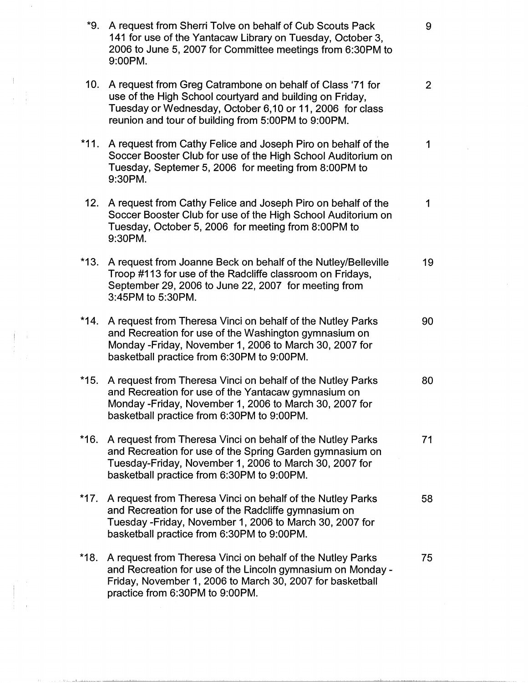| *9.    | A request from Sherri Tolve on behalf of Cub Scouts Pack<br>141 for use of the Yantacaw Library on Tuesday, October 3,<br>2006 to June 5, 2007 for Committee meetings from 6:30PM to<br>9:00PM.                                          | 9              |
|--------|------------------------------------------------------------------------------------------------------------------------------------------------------------------------------------------------------------------------------------------|----------------|
| 10.    | A request from Greg Catrambone on behalf of Class '71 for<br>use of the High School courtyard and building on Friday,<br>Tuesday or Wednesday, October 6,10 or 11, 2006 for class<br>reunion and tour of building from 5:00PM to 9:00PM. | 2 <sup>1</sup> |
| $*11.$ | A request from Cathy Felice and Joseph Piro on behalf of the<br>Soccer Booster Club for use of the High School Auditorium on<br>Tuesday, Septemer 5, 2006 for meeting from 8:00PM to<br>9:30PM.                                          | 1              |
|        | 12. A request from Cathy Felice and Joseph Piro on behalf of the<br>Soccer Booster Club for use of the High School Auditorium on<br>Tuesday, October 5, 2006 for meeting from 8:00PM to<br>9:30PM.                                       | 1              |
| $*13.$ | A request from Joanne Beck on behalf of the Nutley/Belleville<br>Troop #113 for use of the Radcliffe classroom on Fridays,<br>September 29, 2006 to June 22, 2007 for meeting from<br>3:45PM to 5:30PM.                                  | 19             |
| $*14.$ | A request from Theresa Vinci on behalf of the Nutley Parks<br>and Recreation for use of the Washington gymnasium on<br>Monday -Friday, November 1, 2006 to March 30, 2007 for<br>basketball practice from 6:30PM to 9:00PM.              | 90             |
| $*15.$ | A request from Theresa Vinci on behalf of the Nutley Parks<br>and Recreation for use of the Yantacaw gymnasium on<br>Monday -Friday, November 1, 2006 to March 30, 2007 for<br>basketball practice from 6:30PM to 9:00PM.                | 80             |
| $*16.$ | A request from Theresa Vinci on behalf of the Nutley Parks<br>and Recreation for use of the Spring Garden gymnasium on<br>Tuesday-Friday, November 1, 2006 to March 30, 2007 for<br>basketball practice from 6:30PM to 9:00PM.           | 71             |
| $*17.$ | A request from Theresa Vinci on behalf of the Nutley Parks<br>and Recreation for use of the Radcliffe gymnasium on<br>Tuesday - Friday, November 1, 2006 to March 30, 2007 for<br>basketball practice from 6:30PM to 9:00PM.             | 58             |
| $*18.$ | A request from Theresa Vinci on behalf of the Nutley Parks<br>and Recreation for use of the Lincoln gymnasium on Monday -<br>Friday, November 1, 2006 to March 30, 2007 for basketball<br>practice from 6:30PM to 9:00PM.                | 75             |

 $\sim 30$ 

 $\sim$   $\sim$ 

 $\begin{aligned} \frac{1}{2} \int_{\mathbb{R}^3} \frac{1}{\sqrt{2}} \, \mathrm{d} \mu \, \mathrm{d} \mu \, \mathrm{d} \mu \, \mathrm{d} \mu \, \mathrm{d} \mu \, \mathrm{d} \mu \, \mathrm{d} \mu \, \mathrm{d} \mu \, \mathrm{d} \mu \, \mathrm{d} \mu \, \mathrm{d} \mu \, \mathrm{d} \mu \, \mathrm{d} \mu \, \mathrm{d} \mu \, \mathrm{d} \mu \, \mathrm{d} \mu \, \mathrm{d} \mu \, \mathrm{d} \mu \, \mathrm{d} \mu \, \mathrm{d} \mu \, \mathrm{d$